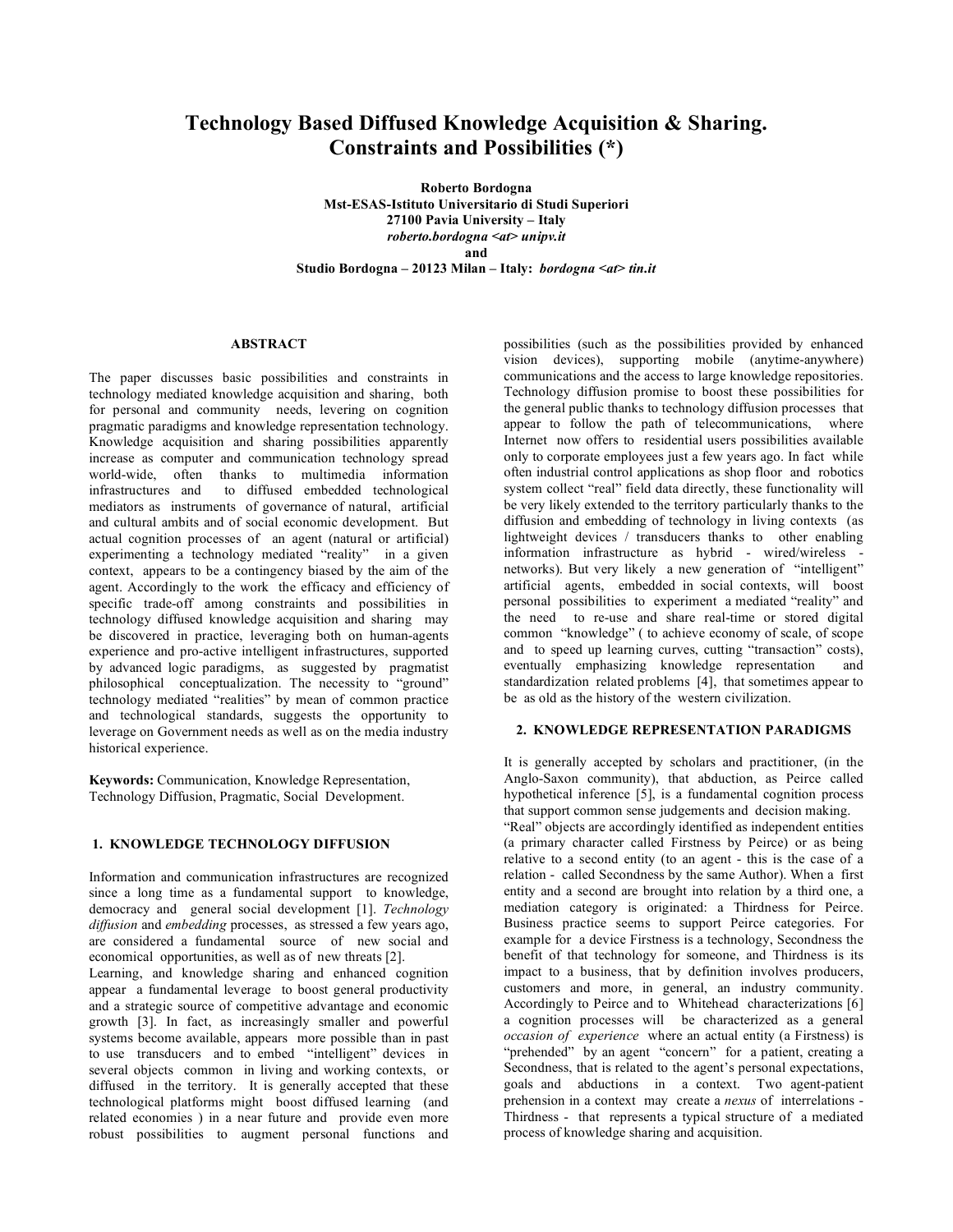# **Technology Based Diffused Knowledge Acquisition & Sharing. Constraints and Possibilities (\*)**

**Roberto Bordogna Mst-ESAS-Istituto Universitario di Studi Superiori 27100 Pavia University – Italy** *roberto.bordogna <at> unipv.it* **and Studio Bordogna – 20123 Milan – Italy:** *bordogna <at> tin.it*

#### **ABSTRACT**

The paper discusses basic possibilities and constraints in technology mediated knowledge acquisition and sharing, both for personal and community needs, levering on cognition pragmatic paradigms and knowledge representation technology. Knowledge acquisition and sharing possibilities apparently increase as computer and communication technology spread world-wide, often thanks to multimedia information infrastructures and to diffused embedded technological mediators as instruments of governance of natural, artificial and cultural ambits and of social economic development. But actual cognition processes of an agent (natural or artificial) experimenting a technology mediated "reality" in a given context, appears to be a contingency biased by the aim of the agent. Accordingly to the work the efficacy and efficiency of specific trade-off among constraints and possibilities in technology diffused knowledge acquisition and sharing may be discovered in practice, leveraging both on human-agents experience and pro-active intelligent infrastructures, supported by advanced logic paradigms, as suggested by pragmatist philosophical conceptualization. The necessity to "ground" technology mediated "realities" by mean of common practice and technological standards, suggests the opportunity to leverage on Government needs as well as on the media industry historical experience.

**Keywords:** Communication, Knowledge Representation, Technology Diffusion, Pragmatic, Social Development.

## **1. KNOWLEDGE TECHNOLOGY DIFFUSION**

Information and communication infrastructures are recognized since a long time as a fundamental support to knowledge, democracy and general social development [1]. *Technology diffusion* and *embedding* processes, as stressed a few years ago, are considered a fundamental source of new social and economical opportunities, as well as of new threats [2].

Learning, and knowledge sharing and enhanced cognition appear a fundamental leverage to boost general productivity and a strategic source of competitive advantage and economic growth [3]. In fact, as increasingly smaller and powerful systems become available, appears more possible than in past to use transducers and to embed "intelligent" devices in several objects common in living and working contexts, or diffused in the territory. It is generally accepted that these technological platforms might boost diffused learning (and related economies ) in a near future and provide even more robust possibilities to augment personal functions and

possibilities (such as the possibilities provided by enhanced vision devices), supporting mobile (anytime-anywhere) communications and the access to large knowledge repositories. Technology diffusion promise to boost these possibilities for the general public thanks to technology diffusion processes that appear to follow the path of telecommunications, where Internet now offers to residential users possibilities available only to corporate employees just a few years ago. In fact while often industrial control applications as shop floor and robotics system collect "real" field data directly, these functionality will be very likely extended to the territory particularly thanks to the diffusion and embedding of technology in living contexts (as lightweight devices / transducers thanks to other enabling information infrastructure as hybrid - wired/wireless networks). But very likely a new generation of "intelligent" artificial agents, embedded in social contexts, will boost personal possibilities to experiment a mediated "reality" and the need to re-use and share real-time or stored digital common "knowledge" ( to achieve economy of scale, of scope and to speed up learning curves, cutting "transaction" costs), eventually emphasizing knowledge representation and standardization related problems [4], that sometimes appear to be as old as the history of the western civilization.

#### **2. KNOWLEDGE REPRESENTATION PARADIGMS**

It is generally accepted by scholars and practitioner, (in the Anglo-Saxon community), that abduction, as Peirce called hypothetical inference [5], is a fundamental cognition process that support common sense judgements and decision making.

"Real" objects are accordingly identified as independent entities (a primary character called Firstness by Peirce) or as being relative to a second entity (to an agent - this is the case of a relation - called Secondness by the same Author). When a first entity and a second are brought into relation by a third one, a mediation category is originated: a Thirdness for Peirce. Business practice seems to support Peirce categories. For example for a device Firstness is a technology, Secondness the benefit of that technology for someone, and Thirdness is its impact to a business, that by definition involves producers, customers and more, in general, an industry community. Accordingly to Peirce and to Whitehead characterizations [6] a cognition processes will be characterized as a general *occasion of experience* where an actual entity (a Firstness) is "prehended" by an agent "concern" for a patient, creating a Secondness, that is related to the agent's personal expectations, goals and abductions in a context. Two agent-patient prehension in a context may create a *nexus* of interrelations - Thirdness - that represents a typical structure of a mediated process of knowledge sharing and acquisition.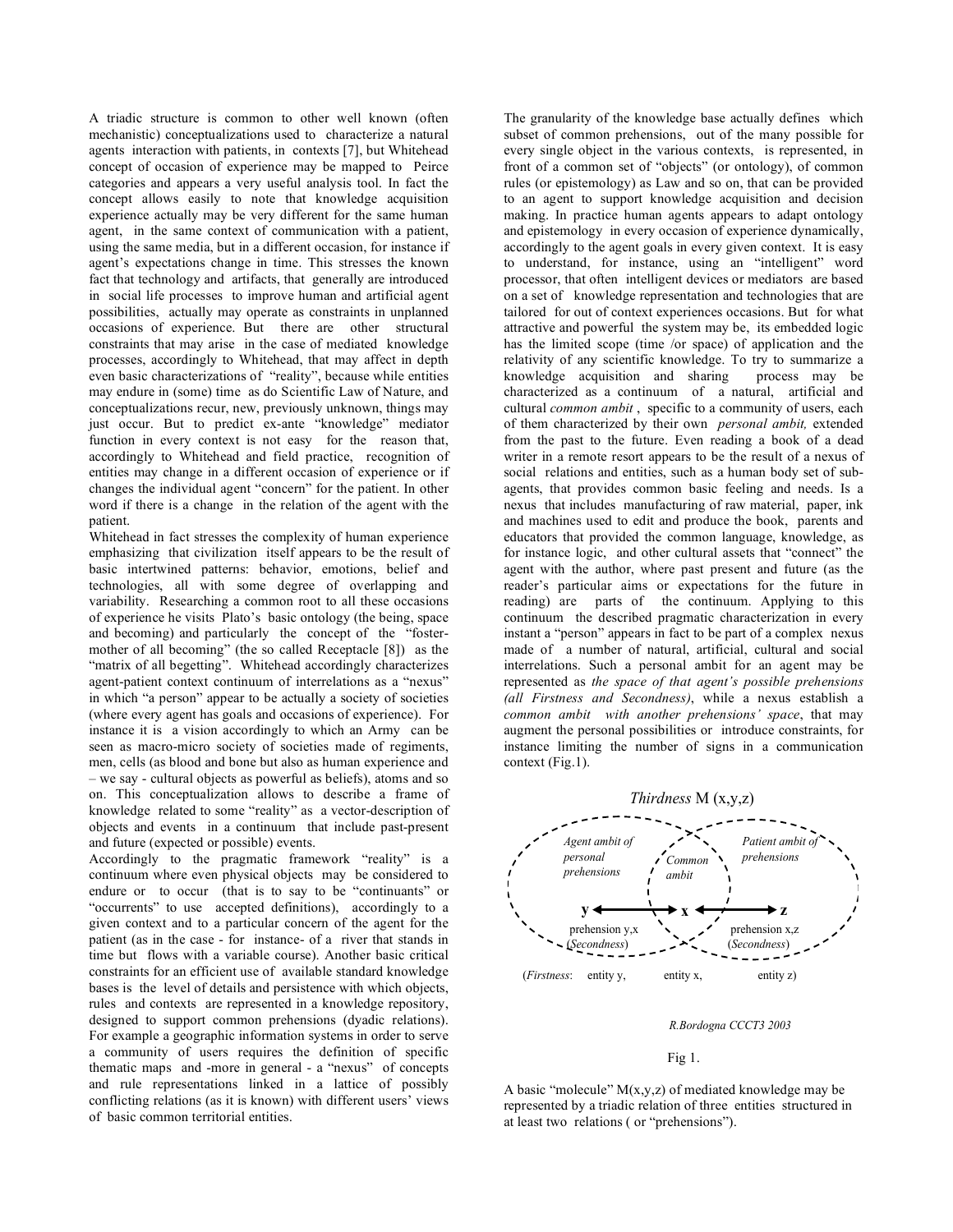A triadic structure is common to other well known (often mechanistic) conceptualizations used to characterize a natural agents interaction with patients, in contexts [7], but Whitehead concept of occasion of experience may be mapped to Peirce categories and appears a very useful analysis tool. In fact the concept allows easily to note that knowledge acquisition experience actually may be very different for the same human agent, in the same context of communication with a patient, using the same media, but in a different occasion, for instance if agent's expectations change in time. This stresses the known fact that technology and artifacts, that generally are introduced in social life processes to improve human and artificial agent possibilities, actually may operate as constraints in unplanned occasions of experience. But there are other structural constraints that may arise in the case of mediated knowledge processes, accordingly to Whitehead, that may affect in depth even basic characterizations of "reality", because while entities may endure in (some) time as do Scientific Law of Nature, and conceptualizations recur, new, previously unknown, things may just occur. But to predict ex-ante "knowledge" mediator function in every context is not easy for the reason that, accordingly to Whitehead and field practice, recognition of entities may change in a different occasion of experience or if changes the individual agent "concern" for the patient. In other word if there is a change in the relation of the agent with the patient.

Whitehead in fact stresses the complexity of human experience emphasizing that civilization itself appears to be the result of basic intertwined patterns: behavior, emotions, belief and technologies, all with some degree of overlapping and variability. Researching a common root to all these occasions of experience he visits Plato's basic ontology (the being, space and becoming) and particularly the concept of the "fostermother of all becoming" (the so called Receptacle [8]) as the "matrix of all begetting". Whitehead accordingly characterizes agent-patient context continuum of interrelations as a "nexus" in which "a person" appear to be actually a society of societies (where every agent has goals and occasions of experience). For instance it is a vision accordingly to which an Army can be seen as macro-micro society of societies made of regiments, men, cells (as blood and bone but also as human experience and – we say - cultural objects as powerful as beliefs), atoms and so on. This conceptualization allows to describe a frame of knowledge related to some "reality" as a vector-description of objects and events in a continuum that include past-present and future (expected or possible) events.

Accordingly to the pragmatic framework "reality" is a continuum where even physical objects may be considered to endure or to occur (that is to say to be "continuants" or "occurrents" to use accepted definitions), accordingly to a given context and to a particular concern of the agent for the patient (as in the case - for instance- of a river that stands in time but flows with a variable course). Another basic critical constraints for an efficient use of available standard knowledge bases is the level of details and persistence with which objects, rules and contexts are represented in a knowledge repository, designed to support common prehensions (dyadic relations). For example a geographic information systems in order to serve a community of users requires the definition of specific thematic maps and -more in general - a "nexus" of concepts and rule representations linked in a lattice of possibly conflicting relations (as it is known) with different users' views of basic common territorial entities.

The granularity of the knowledge base actually defines which subset of common prehensions, out of the many possible for every single object in the various contexts, is represented, in front of a common set of "objects" (or ontology), of common rules (or epistemology) as Law and so on, that can be provided to an agent to support knowledge acquisition and decision making. In practice human agents appears to adapt ontology and epistemology in every occasion of experience dynamically, accordingly to the agent goals in every given context. It is easy to understand, for instance, using an "intelligent" word processor, that often intelligent devices or mediators are based on a set of knowledge representation and technologies that are tailored for out of context experiences occasions. But for what attractive and powerful the system may be, its embedded logic has the limited scope (time /or space) of application and the relativity of any scientific knowledge. To try to summarize a knowledge acquisition and sharing process may be characterized as a continuum of a natural, artificial and cultural *common ambit* , specific to a community of users, each of them characterized by their own *personal ambit,* extended from the past to the future. Even reading a book of a dead writer in a remote resort appears to be the result of a nexus of social relations and entities, such as a human body set of subagents, that provides common basic feeling and needs. Is a nexus that includes manufacturing of raw material, paper, ink and machines used to edit and produce the book, parents and educators that provided the common language, knowledge, as for instance logic, and other cultural assets that "connect" the agent with the author, where past present and future (as the reader's particular aims or expectations for the future in reading) are parts of the continuum. Applying to this continuum the described pragmatic characterization in every instant a "person" appears in fact to be part of a complex nexus made of a number of natural, artificial, cultural and social interrelations. Such a personal ambit for an agent may be represented as *the space of that agent's possible prehensions (all Firstness and Secondness)*, while a nexus establish a *common ambit with another prehensions' space*, that may augment the personal possibilities or introduce constraints, for instance limiting the number of signs in a communication context (Fig.1).



#### *R.Bordogna CCCT3 2003*

#### Fig 1.

A basic "molecule"  $M(x,y,z)$  of mediated knowledge may be represented by a triadic relation of three entities structured in at least two relations ( or "prehensions").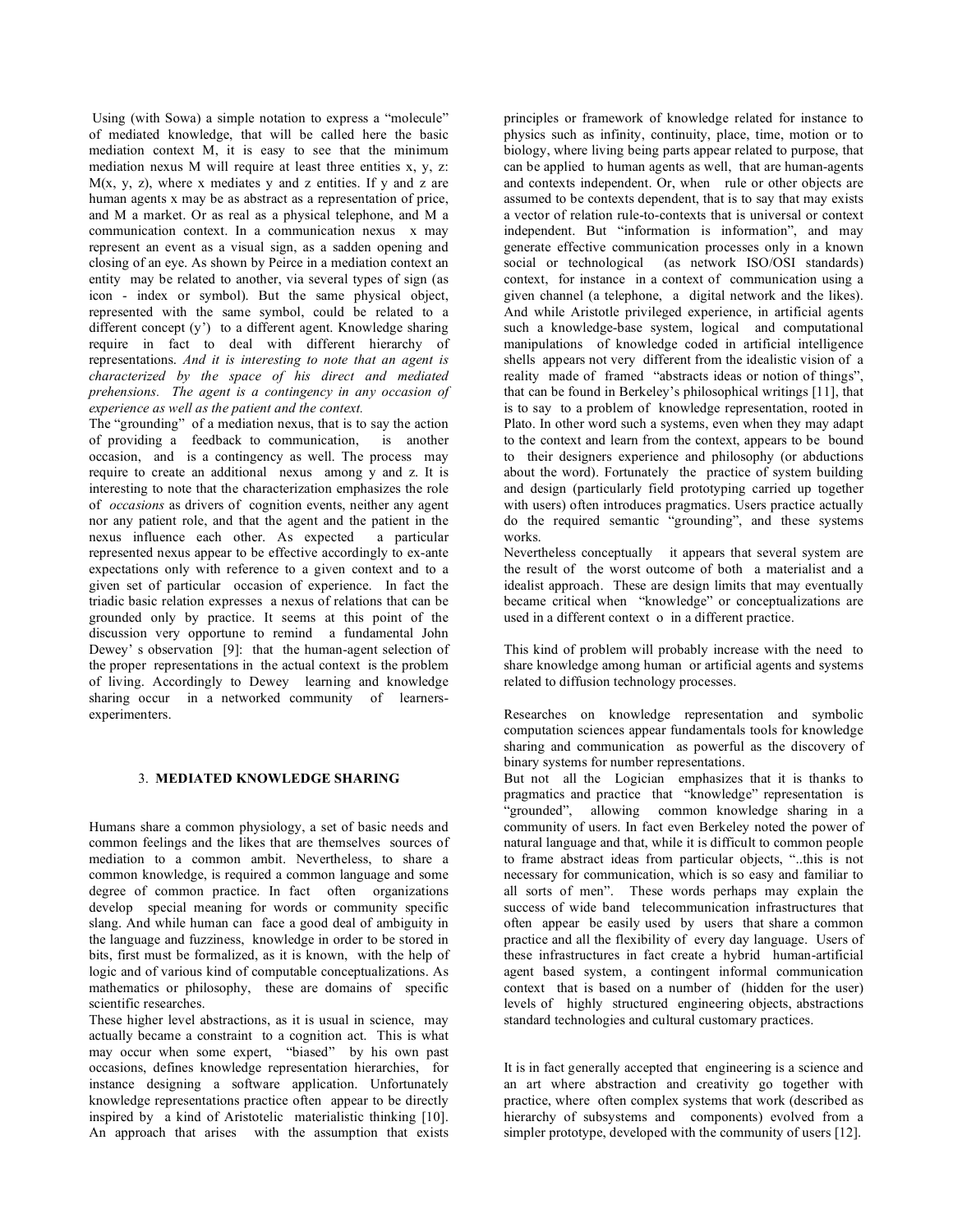Using (with Sowa) a simple notation to express a "molecule" of mediated knowledge, that will be called here the basic mediation context M, it is easy to see that the minimum mediation nexus M will require at least three entities x, y, z:  $M(x, y, z)$ , where x mediates y and z entities. If y and z are human agents x may be as abstract as a representation of price, and M a market. Or as real as a physical telephone, and M a communication context. In a communication nexus x may represent an event as a visual sign, as a sadden opening and closing of an eye. As shown by Peirce in a mediation context an entity may be related to another, via several types of sign (as icon - index or symbol). But the same physical object, represented with the same symbol, could be related to a different concept (y') to a different agent. Knowledge sharing require in fact to deal with different hierarchy of representations. *And it is interesting to note that an agent is characterized by the space of his direct and mediated prehensions. The agent is a contingency in any occasion of experience as well as the patient and the context.*

The "grounding" of a mediation nexus, that is to say the action of providing a feedback to communication, is another occasion, and is a contingency as well. The process may require to create an additional nexus among y and z. It is interesting to note that the characterization emphasizes the role of *occasions* as drivers of cognition events, neither any agent nor any patient role, and that the agent and the patient in the nexus influence each other. As expected a particular represented nexus appear to be effective accordingly to ex-ante expectations only with reference to a given context and to a given set of particular occasion of experience. In fact the triadic basic relation expresses a nexus of relations that can be grounded only by practice. It seems at this point of the discussion very opportune to remind a fundamental John Dewey' s observation [9]: that the human-agent selection of the proper representations in the actual context is the problem of living. Accordingly to Dewey learning and knowledge sharing occur in a networked community of learnersexperimenters.

## 3. **MEDIATED KNOWLEDGE SHARING**

Humans share a common physiology, a set of basic needs and common feelings and the likes that are themselves sources of mediation to a common ambit. Nevertheless, to share a common knowledge, is required a common language and some degree of common practice. In fact often organizations develop special meaning for words or community specific slang. And while human can face a good deal of ambiguity in the language and fuzziness, knowledge in order to be stored in bits, first must be formalized, as it is known, with the help of logic and of various kind of computable conceptualizations. As mathematics or philosophy, these are domains of specific scientific researches.

These higher level abstractions, as it is usual in science, may actually became a constraint to a cognition act. This is what may occur when some expert, "biased" by his own past occasions, defines knowledge representation hierarchies, for instance designing a software application. Unfortunately knowledge representations practice often appear to be directly inspired by a kind of Aristotelic materialistic thinking [10]. An approach that arises with the assumption that exists

principles or framework of knowledge related for instance to physics such as infinity, continuity, place, time, motion or to biology, where living being parts appear related to purpose, that can be applied to human agents as well, that are human-agents and contexts independent. Or, when rule or other objects are assumed to be contexts dependent, that is to say that may exists a vector of relation rule-to-contexts that is universal or context independent. But "information is information", and may generate effective communication processes only in a known social or technological (as network ISO/OSI standards) context, for instance in a context of communication using a given channel (a telephone, a digital network and the likes). And while Aristotle privileged experience, in artificial agents such a knowledge-base system, logical and computational manipulations of knowledge coded in artificial intelligence shells appears not very different from the idealistic vision of a reality made of framed "abstracts ideas or notion of things", that can be found in Berkeley's philosophical writings [11], that is to say to a problem of knowledge representation, rooted in Plato. In other word such a systems, even when they may adapt to the context and learn from the context, appears to be bound to their designers experience and philosophy (or abductions about the word). Fortunately the practice of system building and design (particularly field prototyping carried up together with users) often introduces pragmatics. Users practice actually do the required semantic "grounding", and these systems works.

Nevertheless conceptually it appears that several system are the result of the worst outcome of both a materialist and a idealist approach. These are design limits that may eventually became critical when "knowledge" or conceptualizations are used in a different context o in a different practice.

This kind of problem will probably increase with the need to share knowledge among human or artificial agents and systems related to diffusion technology processes.

Researches on knowledge representation and symbolic computation sciences appear fundamentals tools for knowledge sharing and communication as powerful as the discovery of binary systems for number representations.

But not all the Logician emphasizes that it is thanks to pragmatics and practice that "knowledge" representation is "grounded", allowing common knowledge sharing in a community of users. In fact even Berkeley noted the power of natural language and that, while it is difficult to common people to frame abstract ideas from particular objects, "..this is not necessary for communication, which is so easy and familiar to all sorts of men". These words perhaps may explain the success of wide band telecommunication infrastructures that often appear be easily used by users that share a common practice and all the flexibility of every day language. Users of these infrastructures in fact create a hybrid human-artificial agent based system, a contingent informal communication context that is based on a number of (hidden for the user) levels of highly structured engineering objects, abstractions standard technologies and cultural customary practices.

It is in fact generally accepted that engineering is a science and an art where abstraction and creativity go together with practice, where often complex systems that work (described as hierarchy of subsystems and components) evolved from a simpler prototype, developed with the community of users [12].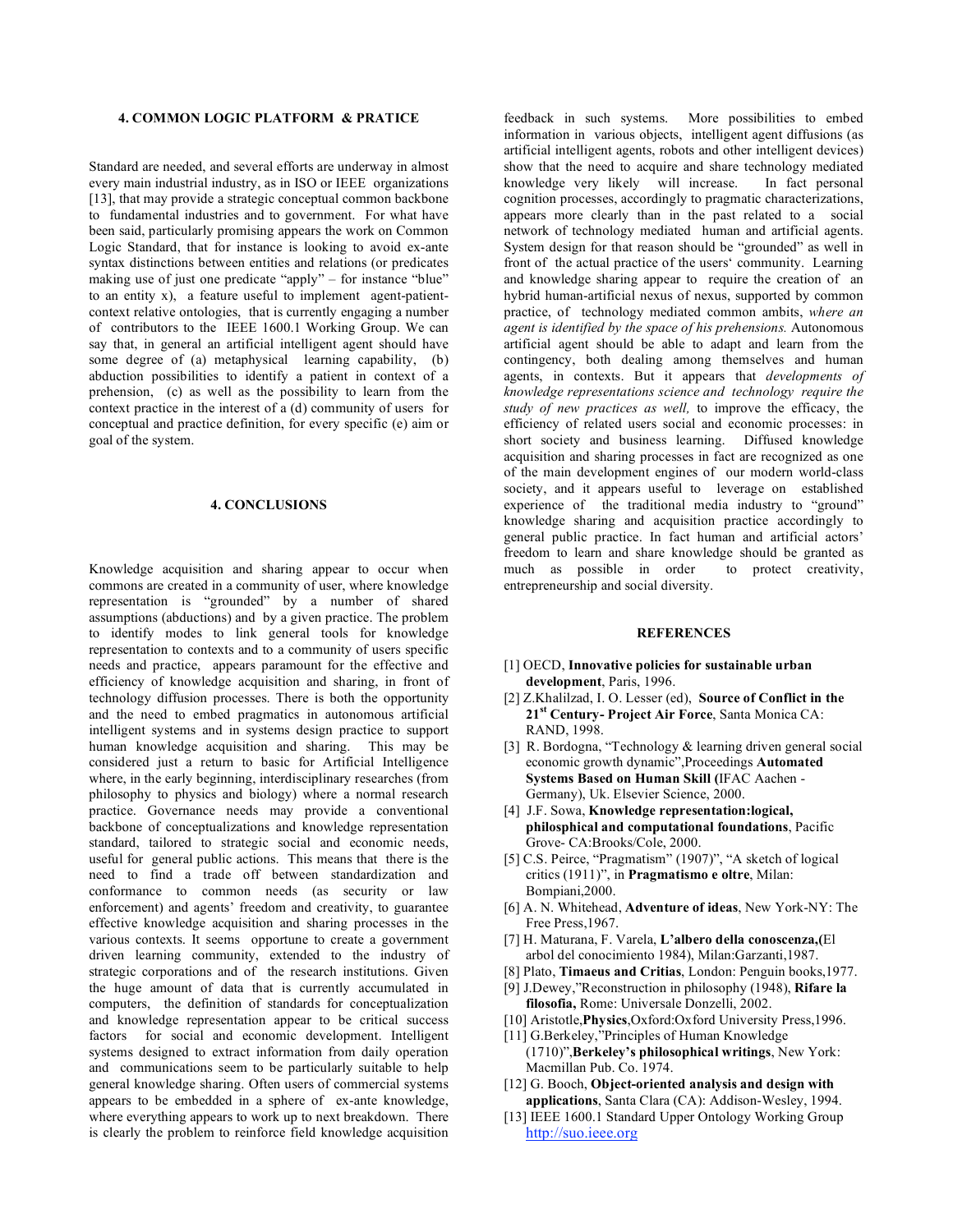#### **4. COMMON LOGIC PLATFORM & PRATICE**

Standard are needed, and several efforts are underway in almost every main industrial industry, as in ISO or IEEE organizations [13], that may provide a strategic conceptual common backbone to fundamental industries and to government. For what have been said, particularly promising appears the work on Common Logic Standard, that for instance is looking to avoid ex-ante syntax distinctions between entities and relations (or predicates making use of just one predicate "apply" – for instance "blue" to an entity x), a feature useful to implement agent-patientcontext relative ontologies, that is currently engaging a number of contributors to the IEEE 1600.1 Working Group. We can say that, in general an artificial intelligent agent should have some degree of (a) metaphysical learning capability, (b) abduction possibilities to identify a patient in context of a prehension, (c) as well as the possibility to learn from the context practice in the interest of a (d) community of users for conceptual and practice definition, for every specific (e) aim or goal of the system.

#### **4. CONCLUSIONS**

Knowledge acquisition and sharing appear to occur when commons are created in a community of user, where knowledge representation is "grounded" by a number of shared assumptions (abductions) and by a given practice. The problem to identify modes to link general tools for knowledge representation to contexts and to a community of users specific needs and practice, appears paramount for the effective and efficiency of knowledge acquisition and sharing, in front of technology diffusion processes. There is both the opportunity and the need to embed pragmatics in autonomous artificial intelligent systems and in systems design practice to support human knowledge acquisition and sharing. This may be considered just a return to basic for Artificial Intelligence where, in the early beginning, interdisciplinary researches (from philosophy to physics and biology) where a normal research practice. Governance needs may provide a conventional backbone of conceptualizations and knowledge representation standard, tailored to strategic social and economic needs, useful for general public actions. This means that there is the need to find a trade off between standardization and conformance to common needs (as security or law enforcement) and agents' freedom and creativity, to guarantee effective knowledge acquisition and sharing processes in the various contexts. It seems opportune to create a government driven learning community, extended to the industry of strategic corporations and of the research institutions. Given the huge amount of data that is currently accumulated in computers, the definition of standards for conceptualization and knowledge representation appear to be critical success factors for social and economic development. Intelligent systems designed to extract information from daily operation and communications seem to be particularly suitable to help general knowledge sharing. Often users of commercial systems appears to be embedded in a sphere of ex-ante knowledge, where everything appears to work up to next breakdown. There is clearly the problem to reinforce field knowledge acquisition

feedback in such systems. More possibilities to embed information in various objects, intelligent agent diffusions (as artificial intelligent agents, robots and other intelligent devices) show that the need to acquire and share technology mediated knowledge very likely will increase. In fact personal cognition processes, accordingly to pragmatic characterizations, appears more clearly than in the past related to a social network of technology mediated human and artificial agents. System design for that reason should be "grounded" as well in front of the actual practice of the users' community. Learning and knowledge sharing appear to require the creation of an hybrid human-artificial nexus of nexus, supported by common practice, of technology mediated common ambits, *where an agent is identified by the space of his prehensions.* Autonomous artificial agent should be able to adapt and learn from the contingency, both dealing among themselves and human agents, in contexts. But it appears that *developments of knowledge representations science and technology require the study of new practices as well,* to improve the efficacy, the efficiency of related users social and economic processes: in short society and business learning. Diffused knowledge acquisition and sharing processes in fact are recognized as one of the main development engines of our modern world-class society, and it appears useful to leverage on established experience of the traditional media industry to "ground" knowledge sharing and acquisition practice accordingly to general public practice. In fact human and artificial actors' freedom to learn and share knowledge should be granted as much as possible in order to protect creativity, entrepreneurship and social diversity.

## **REFERENCES**

- [1] OECD, **Innovative policies for sustainable urban development**, Paris, 1996.
- [2] Z.Khalilzad, I. O. Lesser (ed), **Source of Conflict in the 21st Century- Project Air Force**, Santa Monica CA: RAND, 1998.
- [3] R. Bordogna, "Technology & learning driven general social economic growth dynamic",Proceedings **Automated Systems Based on Human Skill (**IFAC Aachen - Germany), Uk. Elsevier Science, 2000.
- [4] J.F. Sowa, **Knowledge representation:logical, philosphical and computational foundations**, Pacific Grove- CA:Brooks/Cole, 2000.
- [5] C.S. Peirce, "Pragmatism" (1907)", "A sketch of logical critics (1911)", in **Pragmatismo e oltre**, Milan: Bompiani,2000.
- [6] A. N. Whitehead, **Adventure of ideas**, New York-NY: The Free Press,1967.
- [7] H. Maturana, F. Varela, **L'albero della conoscenza,(**El arbol del conocimiento 1984), Milan:Garzanti,1987.
- [8] Plato, **Timaeus and Critias**, London: Penguin books,1977.
- [9] J.Dewey,"Reconstruction in philosophy (1948), **Rifare la filosofia,** Rome: Universale Donzelli, 2002.
- [10] Aristotle,**Physics**,Oxford:Oxford University Press,1996.
- [11] G.Berkeley,"Principles of Human Knowledge (1710)",**Berkeley's philosophical writings**, New York: Macmillan Pub. Co. 1974.
- [12] G. Booch, **Object-oriented analysis and design with applications**, Santa Clara (CA): Addison-Wesley, 1994.
- [13] IEEE 1600.1 Standard Upper Ontology Working Group http://suo.ieee.org